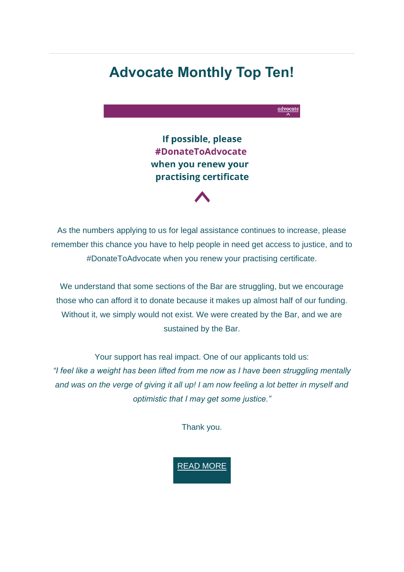# **Advocate Monthly Top Ten!**

advocate If possible, please #DonateToAdvocate when you renew your practising certificate

As the numbers applying to us for legal assistance continues to increase, please remember this chance you have to help people in need get access to justice, and to #DonateToAdvocate when you renew your practising certificate.

We understand that some sections of the Bar are struggling, but we encourage those who can afford it to donate because it makes up almost half of our funding. Without it, we simply would not exist. We were created by the Bar, and we are sustained by the Bar.

Your support has real impact. One of our applicants told us: *"I feel like a weight has been lifted from me now as I have been struggling mentally and was on the verge of giving it all up! I am now feeling a lot better in myself and optimistic that I may get some justice."*

Thank you.

READ [MORE](https://weareadvocate.org.uk/news/please-join-this-years-donatetoadvocate-campaign.html)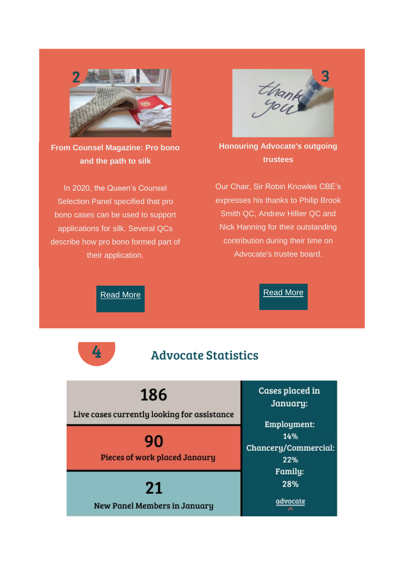

**From Counsel Magazine: Pro bono and the path to silk**

In 2020, the Queen's Counsel Selection Panel specified that pro bono cases can be used to support applications for silk. Several QCs describe how pro bono formed part of their application.



**Honouring Advocate's outgoing trustees**

Our Chair, Sir Robin Knowles CBE's expresses his thanks to Philip Brook Smith QC, Andrew Hillier QC and Nick Hanning for their outstanding contribution during their time on Advocate's trustee board.

[Read](https://www.counselmagazine.co.uk/articles/pro-bono-the-path-to-silk) More

4

### [Read](https://weareadvocate.org.uk/news/honouring-advocates-outgoing-trustees.html) More

## **Advocate Statistics**

186

Live cases currently looking for assistance

90 **Pieces of work placed Janaury** 

21 **New Panel Members in January**  Cases placed in January:

Employment: 14% Chancery/Commercial: 22% Family: 28% advocate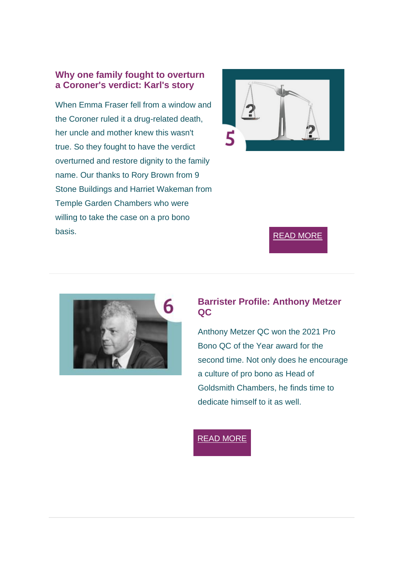#### **Why one family fought to overturn a Coroner's verdict: Karl's story**

When Emma Fraser fell from a window and the Coroner ruled it a drug-related death, her uncle and mother knew this wasn't true. So they fought to have the verdict overturned and restore dignity to the family name. Our thanks to Rory Brown from 9 Stone Buildings and Harriet Wakeman from Temple Garden Chambers who were willing to take the case on a pro bono basis. The contract of the contract of the contract of the contract of the contract of the contract of the contract of the contract of the contract of the contract of the contract of the contract of the contract of the con





#### **Barrister Profile: Anthony Metzer QC**

Anthony Metzer QC won the 2021 Pro Bono QC of the Year award for the second time. Not only does he encourage a culture of pro bono as Head of Goldsmith Chambers, he finds time to dedicate himself to it as well.

READ [MORE](https://weareadvocate.org.uk/volunteer/volunteer-stories/anthony-metzer-qc.html)